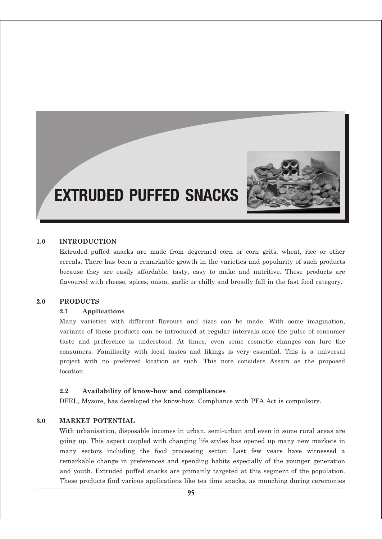

# EXTRUDED PUFFED SNACKS

#### **1.0 INTRODUCTION**

Extruded puffed snacks are made from degermed corn or corn grits, wheat, rice or other cereals. There has been a remarkable growth in the varieties and popularity of such products because they are easily affordable, tasty, easy to make and nutritive. These products are flavoured with cheese, spices, onion, garlic or chilly and broadly fall in the fast food category.

#### **2.0 PRODUCTS**

#### **2.1 Applications**

Many varieties with different flavours and sizes can be made. With some imagination, variants of these products can be introduced at regular intervals once the pulse of consumer taste and preference is understood. At times, even some cosmetic changes can lure the consumers. Familiarity with local tastes and likings is very essential. This is a universal project with no preferred location as such. This note considers Assam as the proposed location.

#### **2.2 Availability of know-how and compliances**

DFRL, Mysore, has developed the know-how. Compliance with PFA Act is compulsory.

#### **3.0 MARKET POTENTIAL**

With urbanisation, disposable incomes in urban, semi-urban and even in some rural areas are going up. This aspect coupled with changing life styles has opened up many new markets in many sectors including the food processing sector. Last few years have witnessed a remarkable change in preferences and spending habits especially of the younger generation and youth. Extruded puffed snacks are primarily targeted at this segment of the population. These products find various applications like tea time snacks, as munching during ceremonies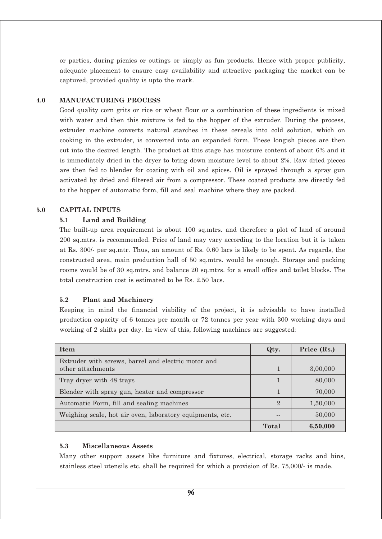or parties, during picnics or outings or simply as fun products. Hence with proper publicity, adequate placement to ensure easy availability and attractive packaging the market can be captured, provided quality is upto the mark.

#### **4.0 MANUFACTURING PROCESS**

Good quality corn grits or rice or wheat flour or a combination of these ingredients is mixed with water and then this mixture is fed to the hopper of the extruder. During the process, extruder machine converts natural starches in these cereals into cold solution, which on cooking in the extruder, is converted into an expanded form. These longish pieces are then cut into the desired length. The product at this stage has moisture content of about 6% and it is immediately dried in the dryer to bring down moisture level to about 2%. Raw dried pieces are then fed to blender for coating with oil and spices. Oil is sprayed through a spray gun activated by dried and filtered air from a compressor. These coated products are directly fed to the hopper of automatic form, fill and seal machine where they are packed.

#### **5.0 CAPITAL INPUTS**

#### **5.1 Land and Building**

The built-up area requirement is about 100 sq.mtrs. and therefore a plot of land of around 200 sq.mtrs. is recommended. Price of land may vary according to the location but it is taken at Rs. 300/- per sq.mtr. Thus, an amount of Rs. 0.60 lacs is likely to be spent. As regards, the constructed area, main production hall of 50 sq.mtrs. would be enough. Storage and packing rooms would be of 30 sq.mtrs. and balance 20 sq.mtrs. for a small office and toilet blocks. The total construction cost is estimated to be Rs. 2.50 lacs.

#### **5.2 Plant and Machinery**

Keeping in mind the financial viability of the project, it is advisable to have installed production capacity of 6 tonnes per month or 72 tonnes per year with 300 working days and working of 2 shifts per day. In view of this, following machines are suggested:

| <b>Item</b>                                                              | Qty.           | Price (Rs.) |
|--------------------------------------------------------------------------|----------------|-------------|
| Extruder with screws, barrel and electric motor and<br>other attachments |                | 3,00,000    |
| Tray dryer with 48 trays                                                 |                | 80,000      |
| Blender with spray gun, heater and compressor                            |                | 70,000      |
| Automatic Form, fill and sealing machines                                | $\mathfrak{D}$ | 1,50,000    |
| Weighing scale, hot air oven, laboratory equipments, etc.                |                | 50,000      |
|                                                                          | Total          | 6,50,000    |

#### **5.3 Miscellaneous Assets**

Many other support assets like furniture and fixtures, electrical, storage racks and bins, stainless steel utensils etc. shall be required for which a provision of Rs. 75,000/- is made.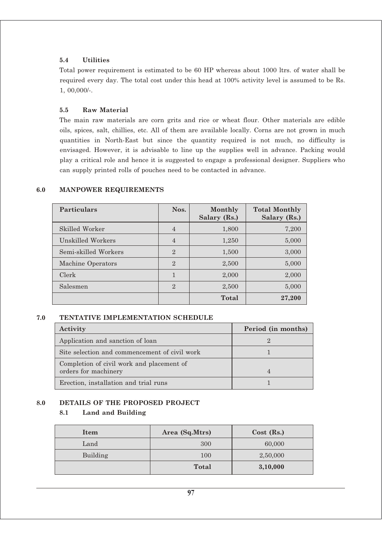#### **5.4 Utilities**

Total power requirement is estimated to be 60 HP whereas about 1000 ltrs. of water shall be required every day. The total cost under this head at 100% activity level is assumed to be Rs. 1, 00,000/-.

#### **5.5 Raw Material**

The main raw materials are corn grits and rice or wheat flour. Other materials are edible oils, spices, salt, chillies, etc. All of them are available locally. Corns are not grown in much quantities in North-East but since the quantity required is not much, no difficulty is envisaged. However, it is advisable to line up the supplies well in advance. Packing would play a critical role and hence it is suggested to engage a professional designer. Suppliers who can supply printed rolls of pouches need to be contacted in advance.

| <b>Particulars</b>   | Nos.           | Monthly<br>Salary (Rs.) | <b>Total Monthly</b><br>Salary (Rs.) |
|----------------------|----------------|-------------------------|--------------------------------------|
| Skilled Worker       | $\overline{4}$ | 1,800                   | 7,200                                |
| Unskilled Workers    | $\overline{4}$ | 1,250                   | 5,000                                |
| Semi-skilled Workers | $\overline{2}$ | 1,500                   | 3,000                                |
| Machine Operators    | $\overline{2}$ | 2,500                   | 5,000                                |
| Clerk                | 1              | 2,000                   | 2,000                                |
| Salesmen             | $\overline{2}$ | 2,500                   | 5,000                                |
|                      |                | Total                   | 27,200                               |

## **6.0 MANPOWER REQUIREMENTS**

#### **7.0 TENTATIVE IMPLEMENTATION SCHEDULE**

| Activity                                                          | Period (in months) |
|-------------------------------------------------------------------|--------------------|
| Application and sanction of loan                                  |                    |
| Site selection and commencement of civil work                     |                    |
| Completion of civil work and placement of<br>orders for machinery |                    |
| Erection, installation and trial runs                             |                    |

# **8.0 DETAILS OF THE PROPOSED PROJECT**

# **8.1 Land and Building**

| Item     | Area (Sq.Mtrs) | $Cost$ (Rs.) |
|----------|----------------|--------------|
| Land     | 300            | 60,000       |
| Building | 100            | 2,50,000     |
|          | <b>Total</b>   | 3,10,000     |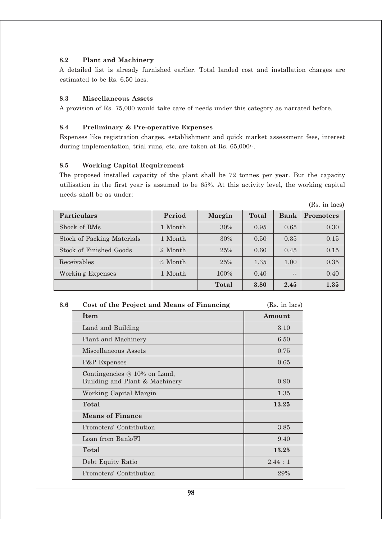## **8.2 Plant and Machinery**

A detailed list is already furnished earlier. Total landed cost and installation charges are estimated to be Rs. 6.50 lacs.

#### **8.3 Miscellaneous Assets**

A provision of Rs. 75,000 would take care of needs under this category as narrated before.

# **8.4 Preliminary & Pre-operative Expenses**

Expenses like registration charges, establishment and quick market assessment fees, interest during implementation, trial runs, etc. are taken at Rs. 65,000/-.

## **8.5 Working Capital Requirement**

The proposed installed capacity of the plant shall be 72 tonnes per year. But the capacity utilisation in the first year is assumed to be 65%. At this activity level, the working capital needs shall be as under:

|                            |                     |               |       |             | (Rs. in lacs)    |
|----------------------------|---------------------|---------------|-------|-------------|------------------|
| <b>Particulars</b>         | Period              | <b>Margin</b> | Total | <b>Bank</b> | <b>Promoters</b> |
| Shock of RM <sub>s</sub>   | 1 Month             | 30%           | 0.95  | 0.65        | 0.30             |
| Stock of Packing Materials | 1 Month             | 30%           | 0.50  | 0.35        | 0.15             |
| Stock of Finished Goods    | $\frac{1}{4}$ Month | 25%           | 0.60  | 0.45        | 0.15             |
| Receivables                | $\frac{1}{2}$ Month | 25%           | 1.35  | 1.00        | 0.35             |
| Working Expenses           | 1 Month             | 100%          | 0.40  | $- -$       | 0.40             |
|                            |                     | Total         | 3.80  | 2.45        | 1.35             |

| 8.6 | Cost of the Project and Means of Financing                       | (Rs. in lacs) |
|-----|------------------------------------------------------------------|---------------|
|     | <b>Item</b>                                                      | Amount        |
|     | Land and Building                                                | 3.10          |
|     | Plant and Machinery                                              | 6.50          |
|     | <b>Miscellaneous Assets</b>                                      | 0.75          |
|     | P&P Expenses                                                     | 0.65          |
|     | Contingencies $@10\%$ on Land,<br>Building and Plant & Machinery | 0.90          |
|     | Working Capital Margin                                           | 1.35          |
|     | Total                                                            | 13.25         |
|     | <b>Means of Finance</b>                                          |               |
|     | Promoters' Contribution                                          | 3.85          |
|     | Loan from Bank/FI                                                | 9.40          |
|     | Total                                                            | 13.25         |
|     | Debt Equity Ratio                                                | 2.44:1        |
|     | Promoters' Contribution                                          | 29%           |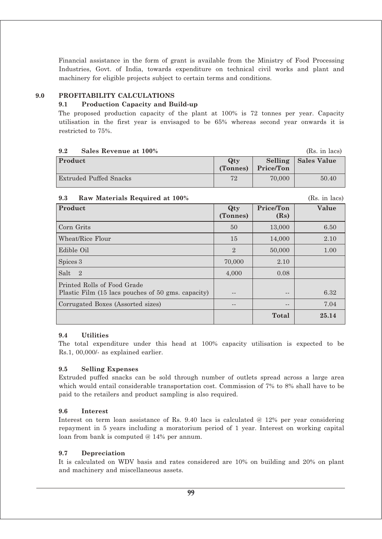Financial assistance in the form of grant is available from the Ministry of Food Processing Industries, Govt. of India, towards expenditure on technical civil works and plant and machinery for eligible projects subject to certain terms and conditions.

# **9.0 PROFITABILITY CALCULATIONS**

## **9.1 Production Capacity and Build-up**

The proposed production capacity of the plant at 100% is 72 tonnes per year. Capacity utilisation in the first year is envisaged to be 65% whereas second year onwards it is restricted to 75%.

#### **9.2 Sales Revenue at 100%** (Rs. in lacs)

| ~~~~~~~~~~~~~~~~~~~~~~~~~ |                 |           |                       |
|---------------------------|-----------------|-----------|-----------------------|
| Product                   | Qtv<br>(Tonnes) | Price/Ton | Selling   Sales Value |
| Extruded Puffed Snacks    | 72              | 70,000    | 50.40                 |

#### **9.3 Raw Materials Required at 100%** (Rs. in lacs)

| $1000$ $1000$ $1000$ $1000$ $1000$ $1000$                                         |                 |                   | $1.000$ , $1.1$ , $1000$ |
|-----------------------------------------------------------------------------------|-----------------|-------------------|--------------------------|
| Product                                                                           | Qty<br>(Tonnes) | Price/Ton<br>(Rs) | Value                    |
| Corn Grits                                                                        | 50              | 13,000            | 6.50                     |
| Wheat/Rice Flour                                                                  | 15              | 14,000            | 2.10                     |
| Edible Oil                                                                        | $\mathbf{2}$    | 50,000            | 1.00                     |
| Spices 3                                                                          | 70,000          | 2.10              |                          |
| Salt<br>$\overline{2}$                                                            | 4,000           | 0.08              |                          |
| Printed Rolls of Food Grade<br>Plastic Film (15 lacs pouches of 50 gms. capacity) |                 | $- -$             | 6.32                     |
| Corrugated Boxes (Assorted sizes)                                                 | --              | $- -$             | 7.04                     |
|                                                                                   |                 | Total             | 25.14                    |

#### **9.4 Utilities**

The total expenditure under this head at 100% capacity utilisation is expected to be Rs.1, 00,000/- as explained earlier.

#### **9.5 Selling Expenses**

Extruded puffed snacks can be sold through number of outlets spread across a large area which would entail considerable transportation cost. Commission of 7% to 8% shall have to be paid to the retailers and product sampling is also required.

#### **9.6 Interest**

Interest on term loan assistance of Rs. 9.40 lacs is calculated @ 12% per year considering repayment in 5 years including a moratorium period of 1 year. Interest on working capital loan from bank is computed @ 14% per annum.

#### **9.7 Depreciation**

It is calculated on WDV basis and rates considered are 10% on building and 20% on plant and machinery and miscellaneous assets.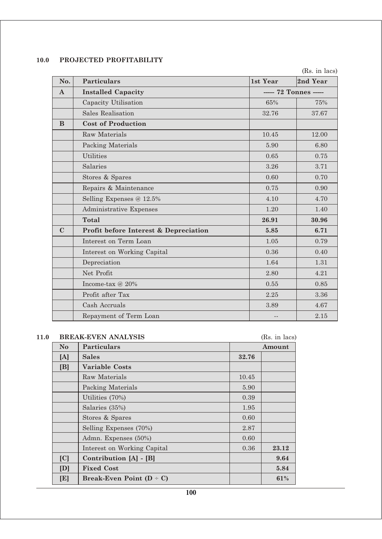# **10.0 PROJECTED PROFITABILITY**

(Rs. in lacs)

| No.          | <b>Particulars</b>                    | 1st Year              | 2nd Year |
|--------------|---------------------------------------|-----------------------|----------|
| $\mathbf{A}$ | <b>Installed Capacity</b>             | ----- 72 Tonnes ----- |          |
|              | Capacity Utilisation                  | 65%                   | 75%      |
|              | <b>Sales Realisation</b>              | 32.76                 | 37.67    |
| B            | <b>Cost of Production</b>             |                       |          |
|              | Raw Materials                         | 10.45                 | 12.00    |
|              | <b>Packing Materials</b>              | 5.90                  | 6.80     |
|              | <b>Utilities</b>                      | 0.65                  | 0.75     |
|              | Salaries                              | 3.26                  | 3.71     |
|              | Stores & Spares                       | 0.60                  | 0.70     |
|              | Repairs & Maintenance                 | 0.75                  | 0.90     |
|              | Selling Expenses @ 12.5%              | 4.10                  | 4.70     |
|              | Administrative Expenses               | 1.20                  | 1.40     |
|              | <b>Total</b>                          | 26.91                 | 30.96    |
| $\mathbf C$  | Profit before Interest & Depreciation | 5.85                  | 6.71     |
|              | Interest on Term Loan                 | 1.05                  | 0.79     |
|              | Interest on Working Capital           | 0.36                  | 0.40     |
|              | Depreciation                          | 1.64                  | 1.31     |
|              | Net Profit                            | 2.80                  | 4.21     |
|              | Income-tax @ 20%                      | 0.55                  | 0.85     |
|              | Profit after Tax                      | 2.25                  | 3.36     |
|              | Cash Accruals                         | 3.89                  | 4.67     |
|              | Repayment of Term Loan                | $-$                   | 2.15     |

| 11.0 |                                                              | <b>BREAK-EVEN ANALYSIS</b> |        | (Rs. in lacs) |
|------|--------------------------------------------------------------|----------------------------|--------|---------------|
|      | N <sub>o</sub>                                               | <b>Particulars</b>         | Amount |               |
|      | 32.76<br>[A]<br><b>Sales</b>                                 |                            |        |               |
|      | [B]<br><b>Variable Costs</b>                                 |                            |        |               |
|      |                                                              | Raw Materials              | 10.45  |               |
|      | Packing Materials                                            |                            | 5.90   |               |
|      | Utilities (70%)                                              |                            | 0.39   |               |
|      |                                                              | Salaries (35%)             | 1.95   |               |
|      |                                                              | Stores & Spares            | 0.60   |               |
|      |                                                              | Selling Expenses (70%)     | 2.87   |               |
|      |                                                              | Admn. Expenses (50%)       | 0.60   |               |
|      | Interest on Working Capital<br> C <br>Contribution [A] - [B] |                            | 0.36   | 23.12         |
|      |                                                              |                            |        | 9.64          |
|      | [D]                                                          | <b>Fixed Cost</b>          | 5.84   |               |
|      | [E]<br>Break-Even Point $(D - C)$                            |                            | 61%    |               |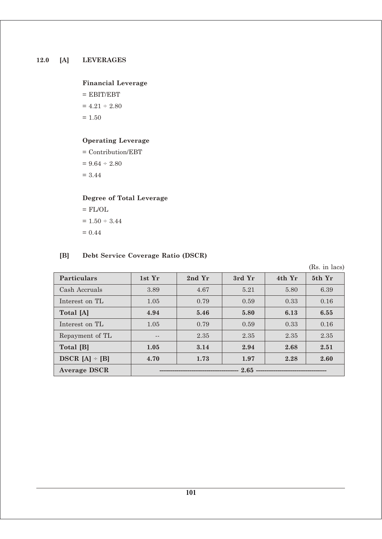# **Financial Leverage**

 $=$  EBIT/EBT  $= 4.21 \div 2.80$  $= 1.50$ 

# **Operating Leverage**

= Contribution/EBT  $= 9.64 \div 2.80$ = 3.44

# **Degree of Total Leverage**

 $=$  FL/OL  $\,$  $= 1.50 \div 3.44$  $= 0.44$ 

# **[B] Debt Service Coverage Ratio (DSCR)**

(Rs. in lacs)

| Particulars         | 1st Yr | 2nd Yr | 3rd Yr | 4th Yr | 5th Yr |
|---------------------|--------|--------|--------|--------|--------|
| Cash Accruals       | 3.89   | 4.67   | 5.21   | 5.80   | 6.39   |
| Interest on TL      | 1.05   | 0.79   | 0.59   | 0.33   | 0.16   |
| Total [A]           | 4.94   | 5.46   | 5.80   | 6.13   | 6.55   |
| Interest on TL      | 1.05   | 0.79   | 0.59   | 0.33   | 0.16   |
| Repayment of TL     | $ -$   | 2.35   | 2.35   | 2.35   | 2.35   |
| Total [B]           | 1.05   | 3.14   | 2.94   | 2.68   | 2.51   |
| $DSCR [A] \div [B]$ | 4.70   | 1.73   | 1.97   | 2.28   | 2.60   |
| <b>Average DSCR</b> | 2.65   |        |        |        |        |